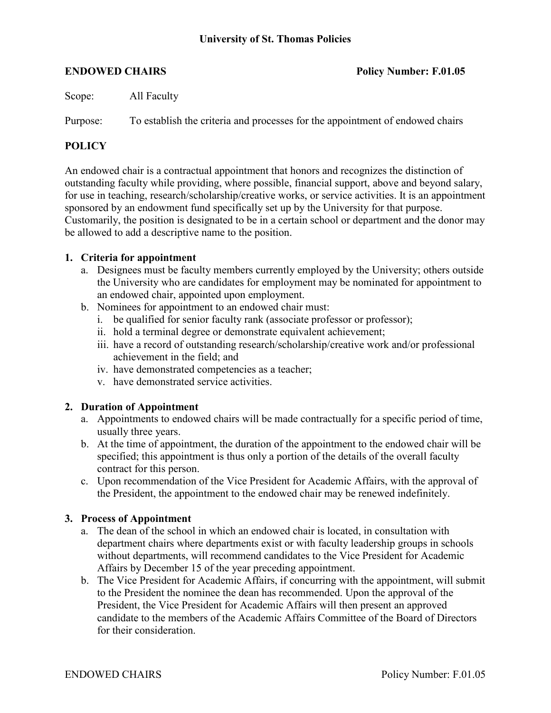Scope: All Faculty

Purpose: To establish the criteria and processes for the appointment of endowed chairs

## **POLICY**

An endowed chair is a contractual appointment that honors and recognizes the distinction of outstanding faculty while providing, where possible, financial support, above and beyond salary, for use in teaching, research/scholarship/creative works, or service activities. It is an appointment sponsored by an endowment fund specifically set up by the University for that purpose. Customarily, the position is designated to be in a certain school or department and the donor may be allowed to add a descriptive name to the position.

## **1. Criteria for appointment**

- a. Designees must be faculty members currently employed by the University; others outside the University who are candidates for employment may be nominated for appointment to an endowed chair, appointed upon employment.
- b. Nominees for appointment to an endowed chair must:
	- i. be qualified for senior faculty rank (associate professor or professor);
	- ii. hold a terminal degree or demonstrate equivalent achievement;
	- iii. have a record of outstanding research/scholarship/creative work and/or professional achievement in the field; and
	- iv. have demonstrated competencies as a teacher;
	- v. have demonstrated service activities.

## **2. Duration of Appointment**

- a. Appointments to endowed chairs will be made contractually for a specific period of time, usually three years.
- b. At the time of appointment, the duration of the appointment to the endowed chair will be specified; this appointment is thus only a portion of the details of the overall faculty contract for this person.
- c. Upon recommendation of the Vice President for Academic Affairs, with the approval of the President, the appointment to the endowed chair may be renewed indefinitely.

### **3. Process of Appointment**

- a. The dean of the school in which an endowed chair is located, in consultation with department chairs where departments exist or with faculty leadership groups in schools without departments, will recommend candidates to the Vice President for Academic Affairs by December 15 of the year preceding appointment.
- b. The Vice President for Academic Affairs, if concurring with the appointment, will submit to the President the nominee the dean has recommended. Upon the approval of the President, the Vice President for Academic Affairs will then present an approved candidate to the members of the Academic Affairs Committee of the Board of Directors for their consideration.